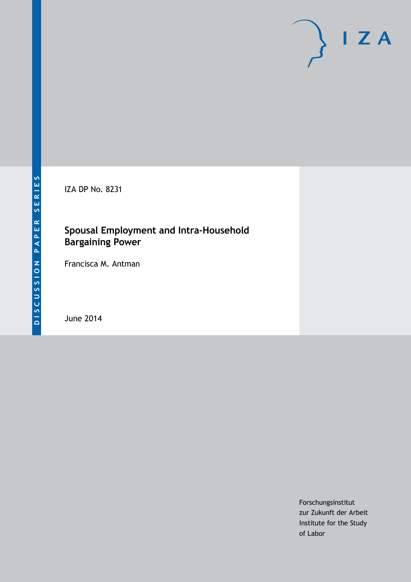IZA DP No. 8231

## **Spousal Employment and Intra-Household Bargaining Power**

Francisca M. Antman

June 2014

Forschungsinstitut zur Zukunft der Arbeit Institute for the Study of Labor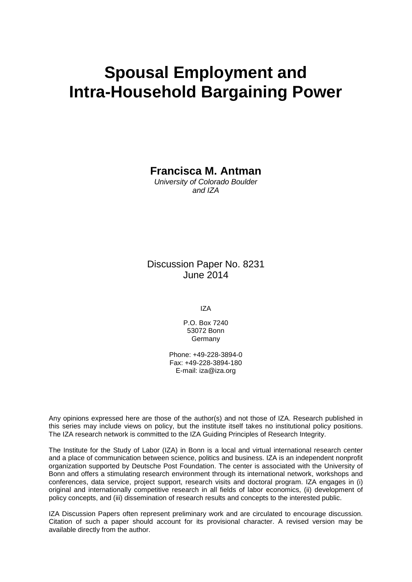# **Spousal Employment and Intra-Household Bargaining Power**

**Francisca M. Antman**

*University of Colorado Boulder and IZA*

Discussion Paper No. 8231 June 2014

IZA

P.O. Box 7240 53072 Bonn Germany

Phone: +49-228-3894-0 Fax: +49-228-3894-180 E-mail: [iza@iza.org](mailto:iza@iza.org)

Any opinions expressed here are those of the author(s) and not those of IZA. Research published in this series may include views on policy, but the institute itself takes no institutional policy positions. The IZA research network is committed to the IZA Guiding Principles of Research Integrity.

The Institute for the Study of Labor (IZA) in Bonn is a local and virtual international research center and a place of communication between science, politics and business. IZA is an independent nonprofit organization supported by Deutsche Post Foundation. The center is associated with the University of Bonn and offers a stimulating research environment through its international network, workshops and conferences, data service, project support, research visits and doctoral program. IZA engages in (i) original and internationally competitive research in all fields of labor economics, (ii) development of policy concepts, and (iii) dissemination of research results and concepts to the interested public.

<span id="page-1-0"></span>IZA Discussion Papers often represent preliminary work and are circulated to encourage discussion. Citation of such a paper should account for its provisional character. A revised version may be available directly from the author.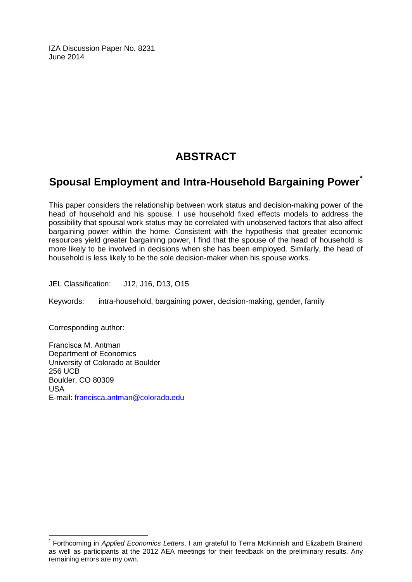IZA Discussion Paper No. 8231 June 2014

# **ABSTRACT**

## **Spousal Employment and Intra-Household Bargaining Power[\\*](#page-1-0)**

This paper considers the relationship between work status and decision-making power of the head of household and his spouse. I use household fixed effects models to address the possibility that spousal work status may be correlated with unobserved factors that also affect bargaining power within the home. Consistent with the hypothesis that greater economic resources yield greater bargaining power, I find that the spouse of the head of household is more likely to be involved in decisions when she has been employed. Similarly, the head of household is less likely to be the sole decision-maker when his spouse works.

JEL Classification: J12, J16, D13, O15

Keywords: intra-household, bargaining power, decision-making, gender, family

Corresponding author:

Francisca M. Antman Department of Economics University of Colorado at Boulder 256 UCB Boulder, CO 80309 USA E-mail: [francisca.antman@colorado.edu](mailto:francisca.antman@colorado.edu)

\* Forthcoming in *Applied Economics Letters*. I am grateful to Terra McKinnish and Elizabeth Brainerd as well as participants at the 2012 AEA meetings for their feedback on the preliminary results. Any remaining errors are my own.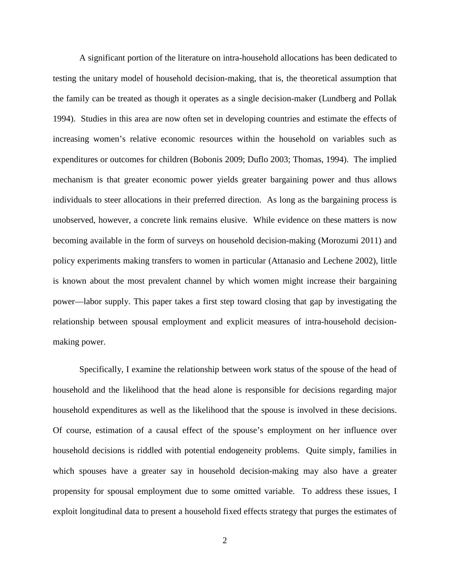A significant portion of the literature on intra-household allocations has been dedicated to testing the unitary model of household decision-making, that is, the theoretical assumption that the family can be treated as though it operates as a single decision-maker (Lundberg and Pollak 1994). Studies in this area are now often set in developing countries and estimate the effects of increasing women's relative economic resources within the household on variables such as expenditures or outcomes for children (Bobonis 2009; Duflo 2003; Thomas, 1994). The implied mechanism is that greater economic power yields greater bargaining power and thus allows individuals to steer allocations in their preferred direction. As long as the bargaining process is unobserved, however, a concrete link remains elusive. While evidence on these matters is now becoming available in the form of surveys on household decision-making (Morozumi 2011) and policy experiments making transfers to women in particular (Attanasio and Lechene 2002), little is known about the most prevalent channel by which women might increase their bargaining power—labor supply. This paper takes a first step toward closing that gap by investigating the relationship between spousal employment and explicit measures of intra-household decisionmaking power.

Specifically, I examine the relationship between work status of the spouse of the head of household and the likelihood that the head alone is responsible for decisions regarding major household expenditures as well as the likelihood that the spouse is involved in these decisions. Of course, estimation of a causal effect of the spouse's employment on her influence over household decisions is riddled with potential endogeneity problems. Quite simply, families in which spouses have a greater say in household decision-making may also have a greater propensity for spousal employment due to some omitted variable. To address these issues, I exploit longitudinal data to present a household fixed effects strategy that purges the estimates of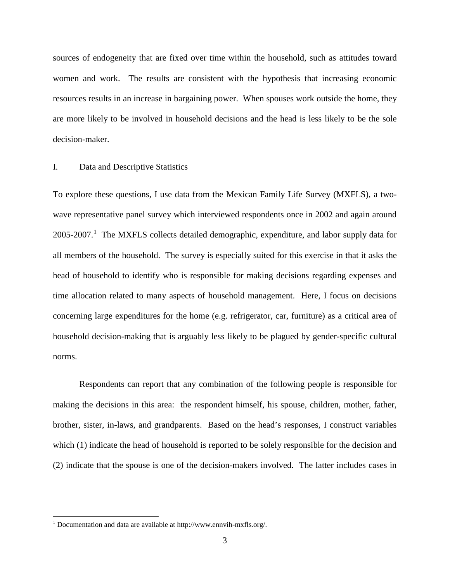sources of endogeneity that are fixed over time within the household, such as attitudes toward women and work. The results are consistent with the hypothesis that increasing economic resources results in an increase in bargaining power. When spouses work outside the home, they are more likely to be involved in household decisions and the head is less likely to be the sole decision-maker.

#### I. Data and Descriptive Statistics

To explore these questions, I use data from the Mexican Family Life Survey (MXFLS), a twowave representative panel survey which interviewed respondents once in 2002 and again around 2005-2007.<sup>[1](#page-4-0)</sup> The MXFLS collects detailed demographic, expenditure, and labor supply data for all members of the household. The survey is especially suited for this exercise in that it asks the head of household to identify who is responsible for making decisions regarding expenses and time allocation related to many aspects of household management. Here, I focus on decisions concerning large expenditures for the home (e.g. refrigerator, car, furniture) as a critical area of household decision-making that is arguably less likely to be plagued by gender-specific cultural norms.

Respondents can report that any combination of the following people is responsible for making the decisions in this area: the respondent himself, his spouse, children, mother, father, brother, sister, in-laws, and grandparents. Based on the head's responses, I construct variables which (1) indicate the head of household is reported to be solely responsible for the decision and (2) indicate that the spouse is one of the decision-makers involved. The latter includes cases in

<span id="page-4-0"></span><sup>&</sup>lt;sup>1</sup> Documentation and data are available at http://www.ennvih-mxfls.org/.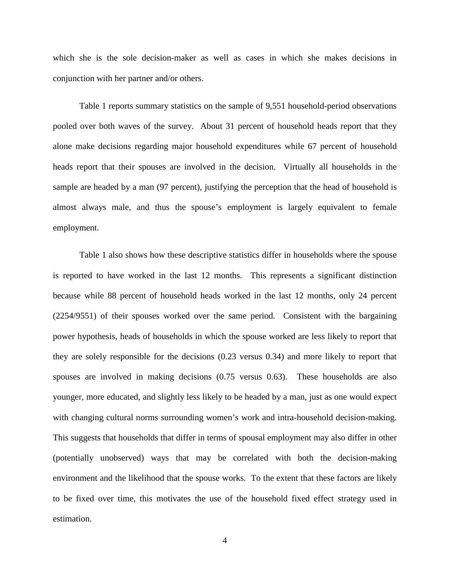which she is the sole decision-maker as well as cases in which she makes decisions in conjunction with her partner and/or others.

Table 1 reports summary statistics on the sample of 9,551 household-period observations pooled over both waves of the survey. About 31 percent of household heads report that they alone make decisions regarding major household expenditures while 67 percent of household heads report that their spouses are involved in the decision. Virtually all households in the sample are headed by a man (97 percent), justifying the perception that the head of household is almost always male, and thus the spouse's employment is largely equivalent to female employment.

Table 1 also shows how these descriptive statistics differ in households where the spouse is reported to have worked in the last 12 months. This represents a significant distinction because while 88 percent of household heads worked in the last 12 months, only 24 percent (2254/9551) of their spouses worked over the same period. Consistent with the bargaining power hypothesis, heads of households in which the spouse worked are less likely to report that they are solely responsible for the decisions (0.23 versus 0.34) and more likely to report that spouses are involved in making decisions (0.75 versus 0.63). These households are also younger, more educated, and slightly less likely to be headed by a man, just as one would expect with changing cultural norms surrounding women's work and intra-household decision-making. This suggests that households that differ in terms of spousal employment may also differ in other (potentially unobserved) ways that may be correlated with both the decision-making environment and the likelihood that the spouse works. To the extent that these factors are likely to be fixed over time, this motivates the use of the household fixed effect strategy used in estimation.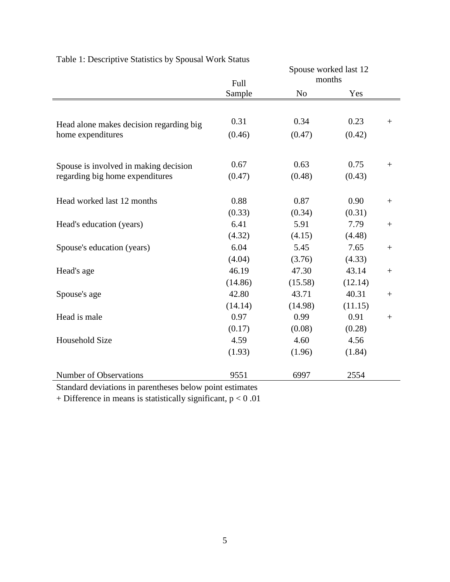|                                         |         | Spouse worked last 12 |         |        |
|-----------------------------------------|---------|-----------------------|---------|--------|
|                                         | Full    | months                |         |        |
|                                         | Sample  | N <sub>o</sub>        | Yes     |        |
|                                         |         |                       |         |        |
| Head alone makes decision regarding big | 0.31    | 0.34                  | 0.23    | $^{+}$ |
| home expenditures                       | (0.46)  | (0.47)                | (0.42)  |        |
| Spouse is involved in making decision   | 0.67    | 0.63                  | 0.75    | $+$    |
| regarding big home expenditures         | (0.47)  | (0.48)                | (0.43)  |        |
| Head worked last 12 months              | 0.88    | 0.87                  | 0.90    | $+$    |
|                                         | (0.33)  | (0.34)                | (0.31)  |        |
| Head's education (years)                | 6.41    | 5.91                  | 7.79    |        |
|                                         | (4.32)  | (4.15)                | (4.48)  |        |
| Spouse's education (years)              | 6.04    | 5.45                  | 7.65    |        |
|                                         | (4.04)  | (3.76)                | (4.33)  |        |
| Head's age                              | 46.19   | 47.30                 | 43.14   |        |
|                                         | (14.86) | (15.58)               | (12.14) |        |
| Spouse's age                            | 42.80   | 43.71                 | 40.31   | $^{+}$ |
|                                         | (14.14) | (14.98)               | (11.15) |        |
| Head is male                            | 0.97    | 0.99                  | 0.91    | $^{+}$ |
|                                         | (0.17)  | (0.08)                | (0.28)  |        |
| <b>Household Size</b>                   | 4.59    | 4.60                  | 4.56    |        |
|                                         | (1.93)  | (1.96)                | (1.84)  |        |
| Number of Observations                  | 9551    | 6997                  | 2554    |        |
| and the second to all a second          |         |                       |         |        |

Table 1: Descriptive Statistics by Spousal Work Status

Standard deviations in parentheses below point estimates

+ Difference in means is statistically significant,  $p < 0.01$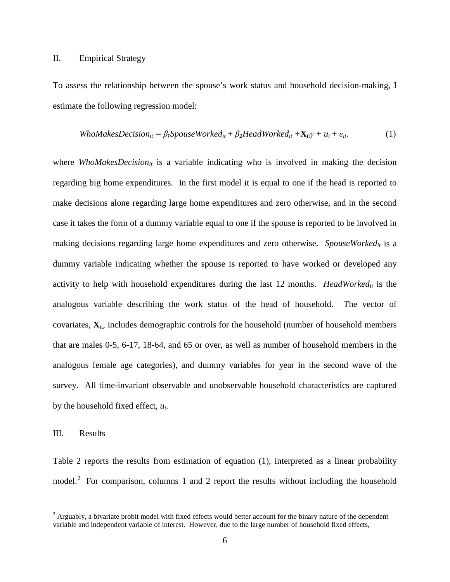#### II. Empirical Strategy

To assess the relationship between the spouse's work status and household decision-making, I estimate the following regression model:

$$
WhoMakesDecision_{it} = \beta_1 SpouseWorked_{it} + \beta_2 HeadWorked_{it} + \mathbf{X}_{it} \gamma + u_i + \varepsilon_{it}.
$$
 (1)

where *WhoMakesDecision<sub>it</sub>* is a variable indicating who is involved in making the decision regarding big home expenditures. In the first model it is equal to one if the head is reported to make decisions alone regarding large home expenditures and zero otherwise, and in the second case it takes the form of a dummy variable equal to one if the spouse is reported to be involved in making decisions regarding large home expenditures and zero otherwise. *SpouseWorkedit* is a dummy variable indicating whether the spouse is reported to have worked or developed any activity to help with household expenditures during the last 12 months. *HeadWorked<sub>it</sub>* is the analogous variable describing the work status of the head of household. The vector of covariates,  $\mathbf{X}_{it}$ , includes demographic controls for the household (number of household members that are males 0-5, 6-17, 18-64, and 65 or over, as well as number of household members in the analogous female age categories), and dummy variables for year in the second wave of the survey. All time-invariant observable and unobservable household characteristics are captured by the household fixed effect, *ui*.

#### III. Results

Table 2 reports the results from estimation of equation (1), interpreted as a linear probability model.<sup>[2](#page-7-0)</sup> For comparison, columns 1 and 2 report the results without including the household

<span id="page-7-0"></span> $2 \text{ Arguably, a bivariate probit model with fixed effects would better account for the binary nature of the dependent$ variable and independent variable of interest. However, due to the large number of household fixed effects,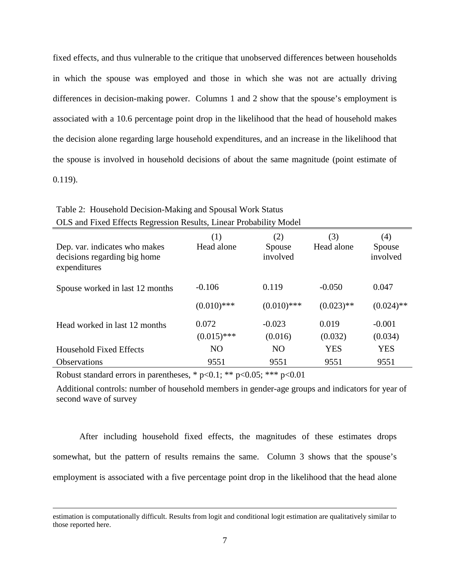fixed effects, and thus vulnerable to the critique that unobserved differences between households in which the spouse was employed and those in which she was not are actually driving differences in decision-making power. Columns 1 and 2 show that the spouse's employment is associated with a 10.6 percentage point drop in the likelihood that the head of household makes the decision alone regarding large household expenditures, and an increase in the likelihood that the spouse is involved in household decisions of about the same magnitude (point estimate of 0.119).

| OLD and I thea Lifects Regiossion Resarts, Linear I Toodom'ly Model           |                   |                           |                   |                           |  |  |  |
|-------------------------------------------------------------------------------|-------------------|---------------------------|-------------------|---------------------------|--|--|--|
| Dep. var. indicates who makes<br>decisions regarding big home<br>expenditures | (1)<br>Head alone | (2)<br>Spouse<br>involved | (3)<br>Head alone | (4)<br>Spouse<br>involved |  |  |  |
| Spouse worked in last 12 months                                               | $-0.106$          | 0.119                     | $-0.050$          | 0.047                     |  |  |  |
|                                                                               | $(0.010)$ ***     | $(0.010)$ ***             | $(0.023)$ **      | $(0.024)$ **              |  |  |  |
| Head worked in last 12 months                                                 | 0.072             | $-0.023$                  | 0.019             | $-0.001$                  |  |  |  |
|                                                                               | $(0.015)$ ***     | (0.016)                   | (0.032)           | (0.034)                   |  |  |  |
| <b>Household Fixed Effects</b>                                                | N <sub>O</sub>    | N <sub>O</sub>            | <b>YES</b>        | <b>YES</b>                |  |  |  |
| <b>Observations</b>                                                           | 9551              | 9551                      | 9551              | 9551                      |  |  |  |

Table 2: Household Decision-Making and Spousal Work Status OLS and Fixed Effects Regression Results, Linear Probability Model

Robust standard errors in parentheses,  $* p<0.1$ ;  $** p<0.05$ ;  $*** p<0.01$ 

l

Additional controls: number of household members in gender-age groups and indicators for year of second wave of survey

After including household fixed effects, the magnitudes of these estimates drops somewhat, but the pattern of results remains the same. Column 3 shows that the spouse's employment is associated with a five percentage point drop in the likelihood that the head alone

estimation is computationally difficult. Results from logit and conditional logit estimation are qualitatively similar to those reported here.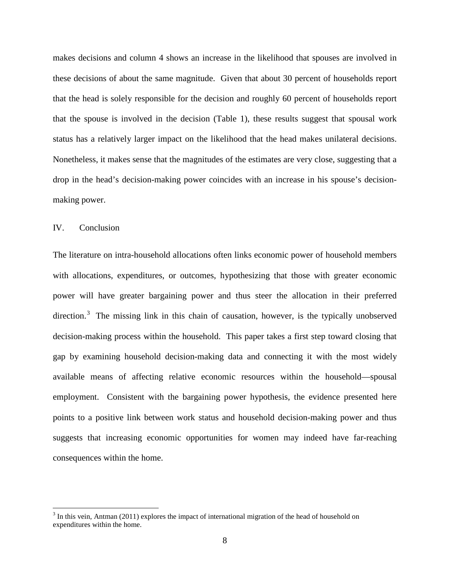makes decisions and column 4 shows an increase in the likelihood that spouses are involved in these decisions of about the same magnitude. Given that about 30 percent of households report that the head is solely responsible for the decision and roughly 60 percent of households report that the spouse is involved in the decision (Table 1), these results suggest that spousal work status has a relatively larger impact on the likelihood that the head makes unilateral decisions. Nonetheless, it makes sense that the magnitudes of the estimates are very close, suggesting that a drop in the head's decision-making power coincides with an increase in his spouse's decisionmaking power.

#### IV. Conclusion

The literature on intra-household allocations often links economic power of household members with allocations, expenditures, or outcomes, hypothesizing that those with greater economic power will have greater bargaining power and thus steer the allocation in their preferred direction.<sup>[3](#page-9-0)</sup> The missing link in this chain of causation, however, is the typically unobserved decision-making process within the household. This paper takes a first step toward closing that gap by examining household decision-making data and connecting it with the most widely available means of affecting relative economic resources within the household—spousal employment. Consistent with the bargaining power hypothesis, the evidence presented here points to a positive link between work status and household decision-making power and thus suggests that increasing economic opportunities for women may indeed have far-reaching consequences within the home.

<span id="page-9-0"></span> $3$  In this vein, Antman (2011) explores the impact of international migration of the head of household on expenditures within the home.